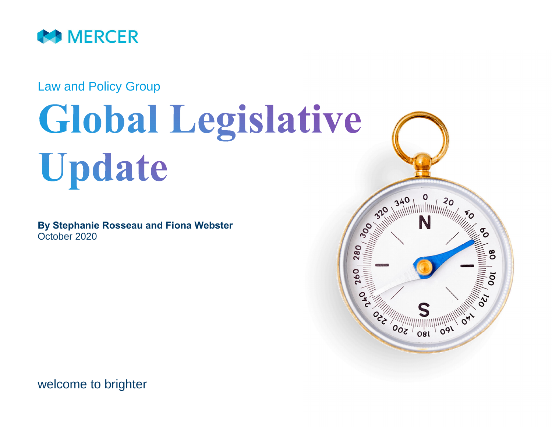

Law and Policy Group

# **Global Legislative** Update

**By Stephanie Rosseau and Fiona Webster** October 2020



welcome to brighter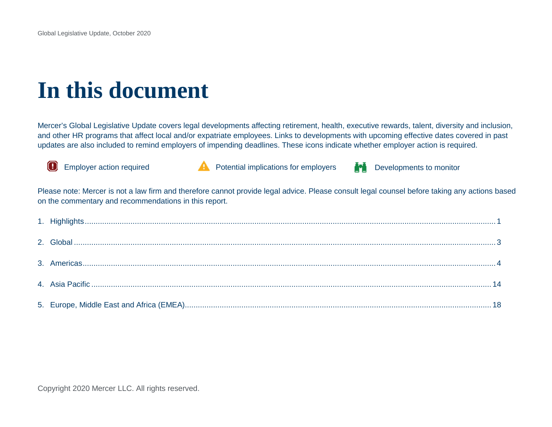## **In this document**

Mercer's Global Legislative Update covers legal developments affecting retirement, health, executive rewards, talent, diversity and inclusion, and other HR programs that affect local and/or expatriate employees. Links to developments with upcoming effective dates covered in past updates are also included to remind employers of impending deadlines. These icons indicate whether employer action is required.





Employer action required **Potential implications for employers**  $\blacksquare$  Developments to monitor



Please note: Mercer is not a law firm and therefore cannot provide legal advice. Please consult legal counsel before taking any actions based on the commentary and recommendations in this report.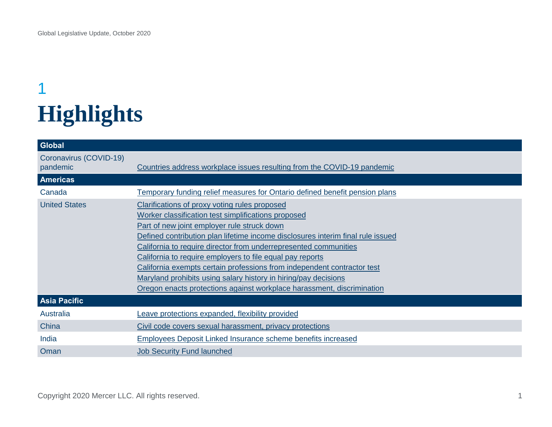### <span id="page-2-0"></span>1 **Highlights**

| Global                             |                                                                                                                                                                                                                                                                                                                                                                                                                                                                                                                                                                                                        |
|------------------------------------|--------------------------------------------------------------------------------------------------------------------------------------------------------------------------------------------------------------------------------------------------------------------------------------------------------------------------------------------------------------------------------------------------------------------------------------------------------------------------------------------------------------------------------------------------------------------------------------------------------|
| Coronavirus (COVID-19)<br>pandemic | Countries address workplace issues resulting from the COVID-19 pandemic                                                                                                                                                                                                                                                                                                                                                                                                                                                                                                                                |
| <b>Americas</b>                    |                                                                                                                                                                                                                                                                                                                                                                                                                                                                                                                                                                                                        |
| Canada                             | <u>Temporary funding relief measures for Ontario defined benefit pension plans</u>                                                                                                                                                                                                                                                                                                                                                                                                                                                                                                                     |
| <b>United States</b>               | <b>Clarifications of proxy voting rules proposed</b><br>Worker classification test simplifications proposed<br>Part of new joint employer rule struck down<br>Defined contribution plan lifetime income disclosures interim final rule issued<br>California to require director from underrepresented communities<br>California to require employers to file equal pay reports<br>California exempts certain professions from independent contractor test<br>Maryland prohibits using salary history in hiring/pay decisions<br>Oregon enacts protections against workplace harassment, discrimination |
| <b>Asia Pacific</b>                |                                                                                                                                                                                                                                                                                                                                                                                                                                                                                                                                                                                                        |
| Australia                          | Leave protections expanded, flexibility provided                                                                                                                                                                                                                                                                                                                                                                                                                                                                                                                                                       |
| China                              | Civil code covers sexual harassment, privacy protections                                                                                                                                                                                                                                                                                                                                                                                                                                                                                                                                               |
| India                              | <b>Employees Deposit Linked Insurance scheme benefits increased</b>                                                                                                                                                                                                                                                                                                                                                                                                                                                                                                                                    |
| Oman                               | <b>Job Security Fund launched</b>                                                                                                                                                                                                                                                                                                                                                                                                                                                                                                                                                                      |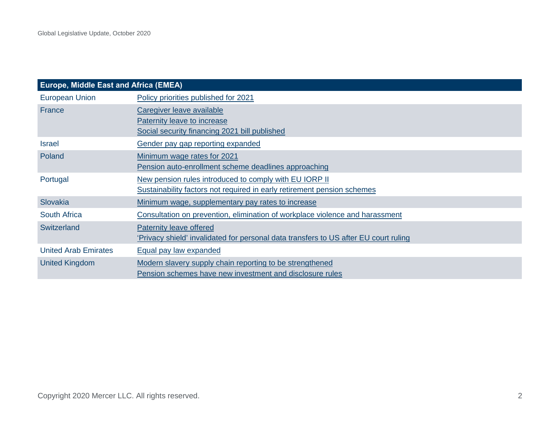| <b>Europe, Middle East and Africa (EMEA)</b> |                                                                                                                                   |  |
|----------------------------------------------|-----------------------------------------------------------------------------------------------------------------------------------|--|
| <b>European Union</b>                        | Policy priorities published for 2021                                                                                              |  |
| France                                       | Caregiver leave available<br>Paternity leave to increase<br>Social security financing 2021 bill published                         |  |
| <b>Israel</b>                                | Gender pay gap reporting expanded                                                                                                 |  |
| Poland                                       | Minimum wage rates for 2021<br>Pension auto-enrollment scheme deadlines approaching                                               |  |
| Portugal                                     | New pension rules introduced to comply with EU IORP II<br>Sustainability factors not required in early retirement pension schemes |  |
| Slovakia                                     | Minimum wage, supplementary pay rates to increase                                                                                 |  |
| <b>South Africa</b>                          | Consultation on prevention, elimination of workplace violence and harassment                                                      |  |
| Switzerland                                  | Paternity leave offered<br>'Privacy shield' invalidated for personal data transfers to US after EU court ruling                   |  |
| <b>United Arab Emirates</b>                  | Equal pay law expanded                                                                                                            |  |
| <b>United Kingdom</b>                        | Modern slavery supply chain reporting to be strengthened<br>Pension schemes have new investment and disclosure rules              |  |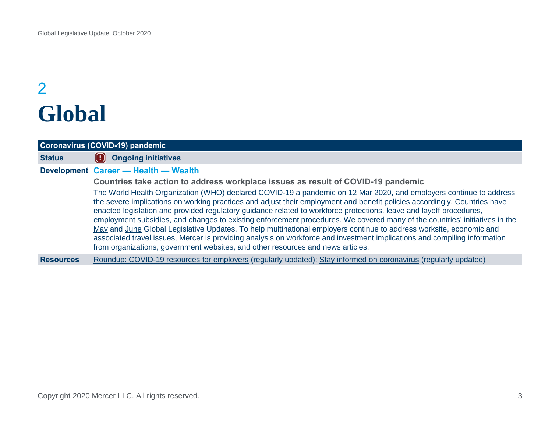### <span id="page-4-0"></span>2 **Global**

<span id="page-4-1"></span>

| Coronavirus (COVID-19) pandemic |                                                                                                                                                                                                                                                                                                                                                                                                                                                                                                                                                                                                                                                                                                                                                                                                                                                                                                                                                                         |
|---------------------------------|-------------------------------------------------------------------------------------------------------------------------------------------------------------------------------------------------------------------------------------------------------------------------------------------------------------------------------------------------------------------------------------------------------------------------------------------------------------------------------------------------------------------------------------------------------------------------------------------------------------------------------------------------------------------------------------------------------------------------------------------------------------------------------------------------------------------------------------------------------------------------------------------------------------------------------------------------------------------------|
| <b>Status</b>                   | <b>Ongoing initiatives</b>                                                                                                                                                                                                                                                                                                                                                                                                                                                                                                                                                                                                                                                                                                                                                                                                                                                                                                                                              |
|                                 | Development Career - Health - Wealth<br>Countries take action to address workplace issues as result of COVID-19 pandemic<br>The World Health Organization (WHO) declared COVID-19 a pandemic on 12 Mar 2020, and employers continue to address<br>the severe implications on working practices and adjust their employment and benefit policies accordingly. Countries have<br>enacted legislation and provided regulatory guidance related to workforce protections, leave and layoff procedures,<br>employment subsidies, and changes to existing enforcement procedures. We covered many of the countries' initiatives in the<br>May and June Global Legislative Updates. To help multinational employers continue to address worksite, economic and<br>associated travel issues, Mercer is providing analysis on workforce and investment implications and compiling information<br>from organizations, government websites, and other resources and news articles. |
| <b>Resources</b>                | Roundup: COVID-19 resources for employers (regularly updated); Stay informed on coronavirus (regularly updated)                                                                                                                                                                                                                                                                                                                                                                                                                                                                                                                                                                                                                                                                                                                                                                                                                                                         |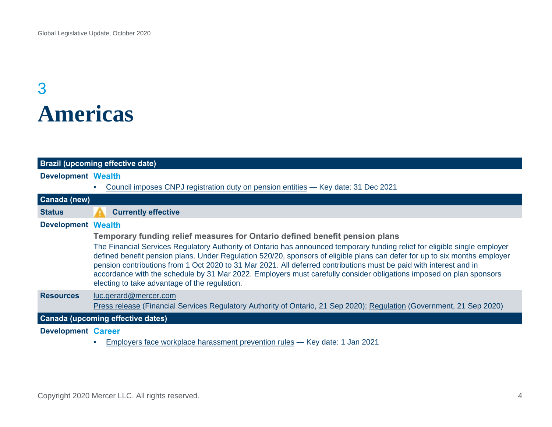### <span id="page-5-0"></span>3 **Americas**

<span id="page-5-1"></span>

|                           | <b>Brazil (upcoming effective date)</b>                                                                                                                                                                                                                                                                                                                                                                                                                                                                                                                |
|---------------------------|--------------------------------------------------------------------------------------------------------------------------------------------------------------------------------------------------------------------------------------------------------------------------------------------------------------------------------------------------------------------------------------------------------------------------------------------------------------------------------------------------------------------------------------------------------|
| <b>Development Wealth</b> |                                                                                                                                                                                                                                                                                                                                                                                                                                                                                                                                                        |
|                           | Council imposes CNPJ registration duty on pension entities - Key date: 31 Dec 2021                                                                                                                                                                                                                                                                                                                                                                                                                                                                     |
| Canada (new)              |                                                                                                                                                                                                                                                                                                                                                                                                                                                                                                                                                        |
| <b>Status</b>             | <b>Currently effective</b>                                                                                                                                                                                                                                                                                                                                                                                                                                                                                                                             |
| <b>Development Wealth</b> |                                                                                                                                                                                                                                                                                                                                                                                                                                                                                                                                                        |
|                           | Temporary funding relief measures for Ontario defined benefit pension plans                                                                                                                                                                                                                                                                                                                                                                                                                                                                            |
|                           | The Financial Services Regulatory Authority of Ontario has announced temporary funding relief for eligible single employer<br>defined benefit pension plans. Under Regulation 520/20, sponsors of eligible plans can defer for up to six months employer<br>pension contributions from 1 Oct 2020 to 31 Mar 2021. All deferred contributions must be paid with interest and in<br>accordance with the schedule by 31 Mar 2022. Employers must carefully consider obligations imposed on plan sponsors<br>electing to take advantage of the regulation. |
| <b>Resources</b>          | luc.gerard@mercer.com                                                                                                                                                                                                                                                                                                                                                                                                                                                                                                                                  |
|                           | Press release (Financial Services Regulatory Authority of Ontario, 21 Sep 2020); Regulation (Government, 21 Sep 2020)                                                                                                                                                                                                                                                                                                                                                                                                                                  |
|                           | Canada (upcoming effective dates)                                                                                                                                                                                                                                                                                                                                                                                                                                                                                                                      |
| <b>Development Career</b> |                                                                                                                                                                                                                                                                                                                                                                                                                                                                                                                                                        |
|                           | Employers face workplace harassment prevention rules - Key date: 1 Jan 2021                                                                                                                                                                                                                                                                                                                                                                                                                                                                            |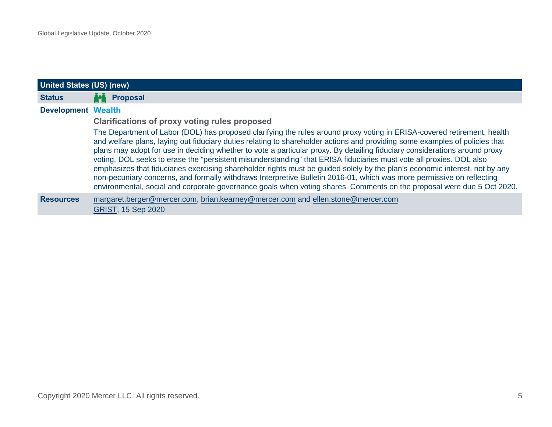<span id="page-6-0"></span>

| United States (US) (new)  |                                                                                                                                                                                                                                                                                                                                                                                                                                                                                                                                                                                                                                                                                                                                                                                                                                                                                               |
|---------------------------|-----------------------------------------------------------------------------------------------------------------------------------------------------------------------------------------------------------------------------------------------------------------------------------------------------------------------------------------------------------------------------------------------------------------------------------------------------------------------------------------------------------------------------------------------------------------------------------------------------------------------------------------------------------------------------------------------------------------------------------------------------------------------------------------------------------------------------------------------------------------------------------------------|
| <b>Status</b>             | <b>Proposal</b>                                                                                                                                                                                                                                                                                                                                                                                                                                                                                                                                                                                                                                                                                                                                                                                                                                                                               |
| <b>Development Wealth</b> |                                                                                                                                                                                                                                                                                                                                                                                                                                                                                                                                                                                                                                                                                                                                                                                                                                                                                               |
|                           | <b>Clarifications of proxy voting rules proposed</b>                                                                                                                                                                                                                                                                                                                                                                                                                                                                                                                                                                                                                                                                                                                                                                                                                                          |
|                           | The Department of Labor (DOL) has proposed clarifying the rules around proxy voting in ERISA-covered retirement, health<br>and welfare plans, laying out fiduciary duties relating to shareholder actions and providing some examples of policies that<br>plans may adopt for use in deciding whether to vote a particular proxy. By detailing fiduciary considerations around proxy<br>voting, DOL seeks to erase the "persistent misunderstanding" that ERISA fiduciaries must vote all proxies. DOL also<br>emphasizes that fiduciaries exercising shareholder rights must be guided solely by the plan's economic interest, not by any<br>non-pecuniary concerns, and formally withdraws Interpretive Bulletin 2016-01, which was more permissive on reflecting<br>environmental, social and corporate governance goals when voting shares. Comments on the proposal were due 5 Oct 2020. |
| <b>Resources</b>          | margaret.berger@mercer.com, brian.kearney@mercer.com and ellen.stone@mercer.com<br><b>GRIST, 15 Sep 2020</b>                                                                                                                                                                                                                                                                                                                                                                                                                                                                                                                                                                                                                                                                                                                                                                                  |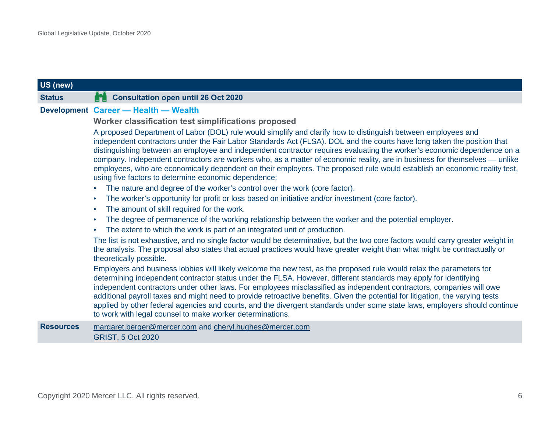### **US (new)**

#### **Status Consultation open until 26 Oct 2020**

#### **Development Career — Health — Wealth**

#### <span id="page-7-0"></span>**Worker classification test simplifications proposed**

A proposed Department of Labor (DOL) rule would simplify and clarify how to distinguish between employees and independent contractors under the Fair Labor Standards Act (FLSA). DOL and the courts have long taken the position that distinguishing between an employee and independent contractor requires evaluating the worker's economic dependence on a company. Independent contractors are workers who, as a matter of economic reality, are in business for themselves — unlike employees, who are economically dependent on their employers. The proposed rule would establish an economic reality test, using five factors to determine economic dependence:

- The nature and degree of the worker's control over the work (core factor).
- The worker's opportunity for profit or loss based on initiative and/or investment (core factor).
- The amount of skill required for the work.
- The degree of permanence of the working relationship between the worker and the potential employer.
- The extent to which the work is part of an integrated unit of production.

The list is not exhaustive, and no single factor would be determinative, but the two core factors would carry greater weight in the analysis. The proposal also states that actual practices would have greater weight than what might be contractually or theoretically possible.

Employers and business lobbies will likely welcome the new test, as the proposed rule would relax the parameters for determining independent contractor status under the FLSA. However, different standards may apply for identifying independent contractors under other laws. For employees misclassified as independent contractors, companies will owe additional payroll taxes and might need to provide retroactive benefits. Given the potential for litigation, the varying tests applied by other federal agencies and courts, and the divergent standards under some state laws, employers should continue to work with legal counsel to make worker determinations.

#### **Resources** [margaret.berger@mercer.com](mailto:margaret.berger@mercer.com) and [cheryl.hughes@mercer.com](mailto:cheryl.hughes@mercer.com) [GRIST,](https://www.mercer.com/our-thinking/law-and-policy-group/dol-proposes-simpler-worker-classification-test-under-flsa.html) 5 Oct 2020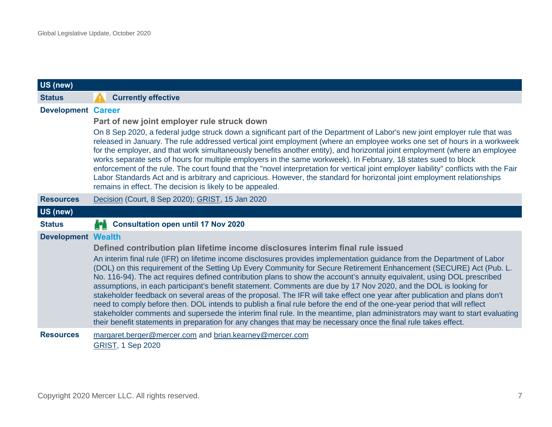<span id="page-8-1"></span><span id="page-8-0"></span>

| US (new)                  |                                                                                                                                                                                                                                                                                                                                                                                                                                                                                                                                                                                                                                                                                                                                                                                                                                                                                                                                                                                                                                                                                                |
|---------------------------|------------------------------------------------------------------------------------------------------------------------------------------------------------------------------------------------------------------------------------------------------------------------------------------------------------------------------------------------------------------------------------------------------------------------------------------------------------------------------------------------------------------------------------------------------------------------------------------------------------------------------------------------------------------------------------------------------------------------------------------------------------------------------------------------------------------------------------------------------------------------------------------------------------------------------------------------------------------------------------------------------------------------------------------------------------------------------------------------|
| <b>Status</b>             | <b>Currently effective</b>                                                                                                                                                                                                                                                                                                                                                                                                                                                                                                                                                                                                                                                                                                                                                                                                                                                                                                                                                                                                                                                                     |
| <b>Development Career</b> | Part of new joint employer rule struck down<br>On 8 Sep 2020, a federal judge struck down a significant part of the Department of Labor's new joint employer rule that was<br>released in January. The rule addressed vertical joint employment (where an employee works one set of hours in a workweek<br>for the employer, and that work simultaneously benefits another entity), and horizontal joint employment (where an employee<br>works separate sets of hours for multiple employers in the same workweek). In February, 18 states sued to block<br>enforcement of the rule. The court found that the "novel interpretation for vertical joint employer liability" conflicts with the Fair<br>Labor Standards Act and is arbitrary and capricious. However, the standard for horizontal joint employment relationships<br>remains in effect. The decision is likely to be appealed.                                                                                                                                                                                                   |
| <b>Resources</b>          | Decision (Court, 8 Sep 2020); GRIST, 15 Jan 2020                                                                                                                                                                                                                                                                                                                                                                                                                                                                                                                                                                                                                                                                                                                                                                                                                                                                                                                                                                                                                                               |
| US (new)                  |                                                                                                                                                                                                                                                                                                                                                                                                                                                                                                                                                                                                                                                                                                                                                                                                                                                                                                                                                                                                                                                                                                |
| <b>Status</b>             | <b>Consultation open until 17 Nov 2020</b>                                                                                                                                                                                                                                                                                                                                                                                                                                                                                                                                                                                                                                                                                                                                                                                                                                                                                                                                                                                                                                                     |
| <b>Development Wealth</b> | Defined contribution plan lifetime income disclosures interim final rule issued<br>An interim final rule (IFR) on lifetime income disclosures provides implementation guidance from the Department of Labor<br>(DOL) on this requirement of the Setting Up Every Community for Secure Retirement Enhancement (SECURE) Act (Pub. L.<br>No. 116-94). The act requires defined contribution plans to show the account's annuity equivalent, using DOL prescribed<br>assumptions, in each participant's benefit statement. Comments are due by 17 Nov 2020, and the DOL is looking for<br>stakeholder feedback on several areas of the proposal. The IFR will take effect one year after publication and plans don't<br>need to comply before then. DOL intends to publish a final rule before the end of the one-year period that will reflect<br>stakeholder comments and supersede the interim final rule. In the meantime, plan administrators may want to start evaluating<br>their benefit statements in preparation for any changes that may be necessary once the final rule takes effect. |
| <b>Resources</b>          | margaret.berger@mercer.com and brian.kearney@mercer.com<br><b>GRIST, 1 Sep 2020</b>                                                                                                                                                                                                                                                                                                                                                                                                                                                                                                                                                                                                                                                                                                                                                                                                                                                                                                                                                                                                            |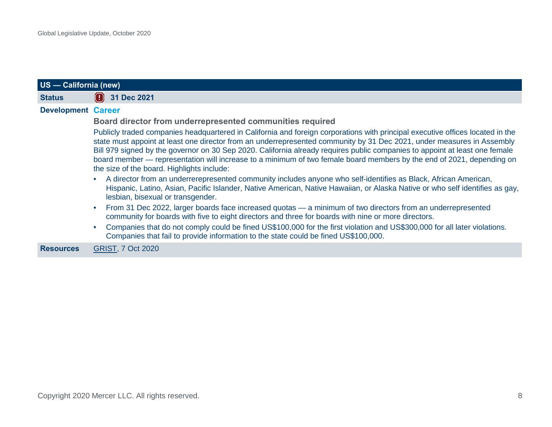<span id="page-9-0"></span>

|                           | US - California (new)                                                                                                                                                                                                                                                                                                                                                                                                                                                                                                                                          |  |
|---------------------------|----------------------------------------------------------------------------------------------------------------------------------------------------------------------------------------------------------------------------------------------------------------------------------------------------------------------------------------------------------------------------------------------------------------------------------------------------------------------------------------------------------------------------------------------------------------|--|
| <b>Status</b>             | 31 Dec 2021                                                                                                                                                                                                                                                                                                                                                                                                                                                                                                                                                    |  |
| <b>Development Career</b> |                                                                                                                                                                                                                                                                                                                                                                                                                                                                                                                                                                |  |
|                           | Board director from underrepresented communities required                                                                                                                                                                                                                                                                                                                                                                                                                                                                                                      |  |
|                           | Publicly traded companies headquartered in California and foreign corporations with principal executive offices located in the<br>state must appoint at least one director from an underrepresented community by 31 Dec 2021, under measures in Assembly<br>Bill 979 signed by the governor on 30 Sep 2020. California already requires public companies to appoint at least one female<br>board member — representation will increase to a minimum of two female board members by the end of 2021, depending on<br>the size of the board. Highlights include: |  |
|                           | A director from an underrerepresented community includes anyone who self-identifies as Black, African American,<br>Hispanic, Latino, Asian, Pacific Islander, Native American, Native Hawaiian, or Alaska Native or who self identifies as gay,<br>lesbian, bisexual or transgender.                                                                                                                                                                                                                                                                           |  |
|                           | From 31 Dec 2022, larger boards face increased quotas — a minimum of two directors from an underrepresented<br>community for boards with five to eight directors and three for boards with nine or more directors.                                                                                                                                                                                                                                                                                                                                             |  |
|                           | Companies that do not comply could be fined US\$100,000 for the first violation and US\$300,000 for all later violations.<br>Companies that fail to provide information to the state could be fined US\$100,000.                                                                                                                                                                                                                                                                                                                                               |  |
| <b>Resources</b>          | <b>GRIST, 7 Oct 2020</b>                                                                                                                                                                                                                                                                                                                                                                                                                                                                                                                                       |  |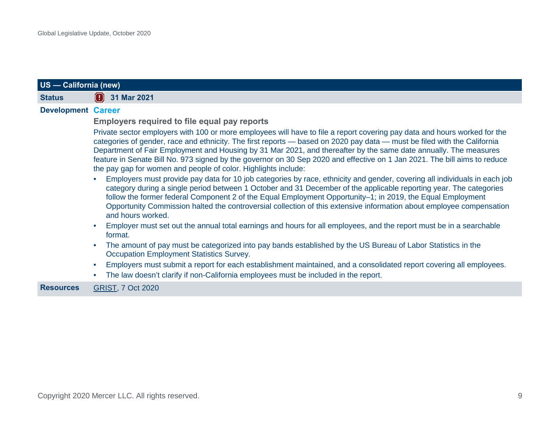<span id="page-10-0"></span>

| US - California (new)     |                                                                                                                                                                                                                                                                                                                                                                                                                                                                                                                                                                          |
|---------------------------|--------------------------------------------------------------------------------------------------------------------------------------------------------------------------------------------------------------------------------------------------------------------------------------------------------------------------------------------------------------------------------------------------------------------------------------------------------------------------------------------------------------------------------------------------------------------------|
| <b>Status</b>             | $\left( \frac{1}{2} \right)$ 31 Mar 2021                                                                                                                                                                                                                                                                                                                                                                                                                                                                                                                                 |
| <b>Development Career</b> | <b>Employers required to file equal pay reports</b>                                                                                                                                                                                                                                                                                                                                                                                                                                                                                                                      |
|                           | Private sector employers with 100 or more employees will have to file a report covering pay data and hours worked for the<br>categories of gender, race and ethnicity. The first reports - based on 2020 pay data - must be filed with the California<br>Department of Fair Employment and Housing by 31 Mar 2021, and thereafter by the same date annually. The measures<br>feature in Senate Bill No. 973 signed by the governor on 30 Sep 2020 and effective on 1 Jan 2021. The bill aims to reduce<br>the pay gap for women and people of color. Highlights include: |
|                           | Employers must provide pay data for 10 job categories by race, ethnicity and gender, covering all individuals in each job<br>category during a single period between 1 October and 31 December of the applicable reporting year. The categories<br>follow the former federal Component 2 of the Equal Employment Opportunity–1; in 2019, the Equal Employment<br>Opportunity Commission halted the controversial collection of this extensive information about employee compensation<br>and hours worked.                                                               |
|                           | Employer must set out the annual total earnings and hours for all employees, and the report must be in a searchable<br>format.                                                                                                                                                                                                                                                                                                                                                                                                                                           |
|                           | The amount of pay must be categorized into pay bands established by the US Bureau of Labor Statistics in the<br>Occupation Employment Statistics Survey.                                                                                                                                                                                                                                                                                                                                                                                                                 |
|                           | Employers must submit a report for each establishment maintained, and a consolidated report covering all employees.<br>The law doesn't clarify if non-California employees must be included in the report.                                                                                                                                                                                                                                                                                                                                                               |
| <b>Resources</b>          | <b>GRIST, 7 Oct 2020</b>                                                                                                                                                                                                                                                                                                                                                                                                                                                                                                                                                 |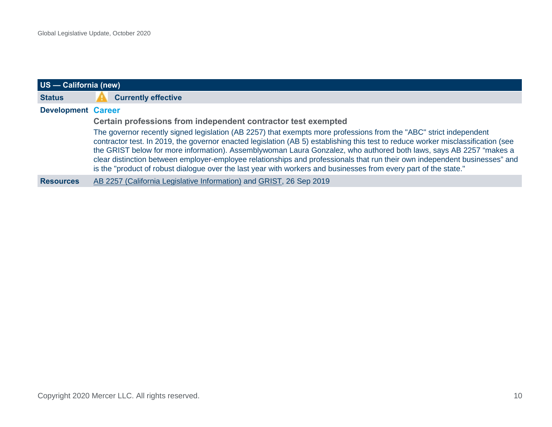<span id="page-11-0"></span>

| US - California (new)     |                                                                                                                                                                                                                                                                                                                                                                                                                                                                                                                                                                                                                                |
|---------------------------|--------------------------------------------------------------------------------------------------------------------------------------------------------------------------------------------------------------------------------------------------------------------------------------------------------------------------------------------------------------------------------------------------------------------------------------------------------------------------------------------------------------------------------------------------------------------------------------------------------------------------------|
| <b>Status</b>             | <b>Currently effective</b>                                                                                                                                                                                                                                                                                                                                                                                                                                                                                                                                                                                                     |
| <b>Development Career</b> |                                                                                                                                                                                                                                                                                                                                                                                                                                                                                                                                                                                                                                |
|                           | Certain professions from independent contractor test exempted                                                                                                                                                                                                                                                                                                                                                                                                                                                                                                                                                                  |
|                           | The governor recently signed legislation (AB 2257) that exempts more professions from the "ABC" strict independent<br>contractor test. In 2019, the governor enacted legislation (AB 5) establishing this test to reduce worker misclassification (see<br>the GRIST below for more information). Assemblywoman Laura Gonzalez, who authored both laws, says AB 2257 "makes a<br>clear distinction between employer-employee relationships and professionals that run their own independent businesses" and<br>is the "product of robust dialogue over the last year with workers and businesses from every part of the state." |
| <b>Resources</b>          | AB 2257 (California Legislative Information) and GRIST, 26 Sep 2019                                                                                                                                                                                                                                                                                                                                                                                                                                                                                                                                                            |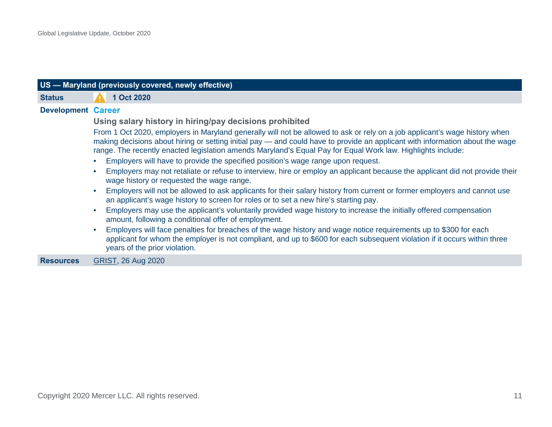<span id="page-12-0"></span>

|                           | US - Maryland (previously covered, newly effective)                                                                                                                                                                                                                                                                                                                        |  |
|---------------------------|----------------------------------------------------------------------------------------------------------------------------------------------------------------------------------------------------------------------------------------------------------------------------------------------------------------------------------------------------------------------------|--|
| <b>Status</b>             | 1 Oct 2020                                                                                                                                                                                                                                                                                                                                                                 |  |
| <b>Development Career</b> |                                                                                                                                                                                                                                                                                                                                                                            |  |
|                           | Using salary history in hiring/pay decisions prohibited                                                                                                                                                                                                                                                                                                                    |  |
|                           | From 1 Oct 2020, employers in Maryland generally will not be allowed to ask or rely on a job applicant's wage history when<br>making decisions about hiring or setting initial pay — and could have to provide an applicant with information about the wage<br>range. The recently enacted legislation amends Maryland's Equal Pay for Equal Work law. Highlights include: |  |
|                           | Employers will have to provide the specified position's wage range upon request.                                                                                                                                                                                                                                                                                           |  |
|                           | Employers may not retaliate or refuse to interview, hire or employ an applicant because the applicant did not provide their<br>wage history or requested the wage range.                                                                                                                                                                                                   |  |
|                           | Employers will not be allowed to ask applicants for their salary history from current or former employers and cannot use<br>an applicant's wage history to screen for roles or to set a new hire's starting pay.                                                                                                                                                           |  |
|                           | Employers may use the applicant's voluntarily provided wage history to increase the initially offered compensation<br>amount, following a conditional offer of employment.                                                                                                                                                                                                 |  |
|                           | Employers will face penalties for breaches of the wage history and wage notice requirements up to \$300 for each<br>applicant for whom the employer is not compliant, and up to \$600 for each subsequent violation if it occurs within three<br>years of the prior violation.                                                                                             |  |
| <b>Resources</b>          | GRIST, 26 Aug 2020                                                                                                                                                                                                                                                                                                                                                         |  |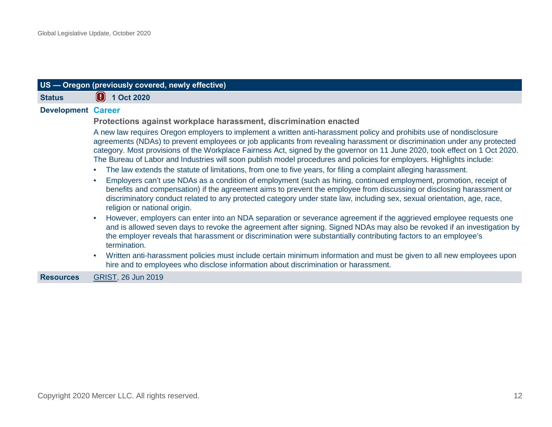<span id="page-13-0"></span>

| US - Oregon (previously covered, newly effective) |                                                                                                                                                                                                                                                                                                                                                                                                                                                                                                                                                                                                                                                                                                                                                                                                                                                                                                                                                                                                                                      |
|---------------------------------------------------|--------------------------------------------------------------------------------------------------------------------------------------------------------------------------------------------------------------------------------------------------------------------------------------------------------------------------------------------------------------------------------------------------------------------------------------------------------------------------------------------------------------------------------------------------------------------------------------------------------------------------------------------------------------------------------------------------------------------------------------------------------------------------------------------------------------------------------------------------------------------------------------------------------------------------------------------------------------------------------------------------------------------------------------|
| <b>Status</b>                                     | 1 Oct 2020                                                                                                                                                                                                                                                                                                                                                                                                                                                                                                                                                                                                                                                                                                                                                                                                                                                                                                                                                                                                                           |
| <b>Development Career</b>                         |                                                                                                                                                                                                                                                                                                                                                                                                                                                                                                                                                                                                                                                                                                                                                                                                                                                                                                                                                                                                                                      |
|                                                   | Protections against workplace harassment, discrimination enacted                                                                                                                                                                                                                                                                                                                                                                                                                                                                                                                                                                                                                                                                                                                                                                                                                                                                                                                                                                     |
|                                                   | A new law requires Oregon employers to implement a written anti-harassment policy and prohibits use of nondisclosure<br>agreements (NDAs) to prevent employees or job applicants from revealing harassment or discrimination under any protected<br>category. Most provisions of the Workplace Fairness Act, signed by the governor on 11 June 2020, took effect on 1 Oct 2020.<br>The Bureau of Labor and Industries will soon publish model procedures and policies for employers. Highlights include:<br>The law extends the statute of limitations, from one to five years, for filing a complaint alleging harassment.<br>Employers can't use NDAs as a condition of employment (such as hiring, continued employment, promotion, receipt of<br>benefits and compensation) if the agreement aims to prevent the employee from discussing or disclosing harassment or<br>discriminatory conduct related to any protected category under state law, including sex, sexual orientation, age, race,<br>religion or national origin. |
|                                                   | However, employers can enter into an NDA separation or severance agreement if the aggrieved employee requests one<br>and is allowed seven days to revoke the agreement after signing. Signed NDAs may also be revoked if an investigation by<br>the employer reveals that harassment or discrimination were substantially contributing factors to an employee's<br>termination.<br>Written anti-harassment policies must include certain minimum information and must be given to all new employees upon<br>hire and to employees who disclose information about discrimination or harassment.                                                                                                                                                                                                                                                                                                                                                                                                                                       |
| <b>Resources</b>                                  | GRIST, 26 Jun 2019                                                                                                                                                                                                                                                                                                                                                                                                                                                                                                                                                                                                                                                                                                                                                                                                                                                                                                                                                                                                                   |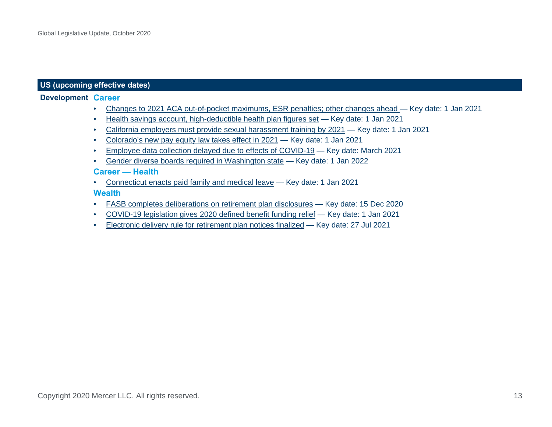#### **US (upcoming effective dates)**

#### **Development Career**

- [Changes to 2021 ACA out-of-pocket maximums, ESR penalties; other changes ahead](https://www.mercer.com/our-thinking/law-and-policy-group/2021-aca-out-of-pocket-maximums-esr-penalties-other-changes-ahead.html) Key date: 1 Jan 2021
- [Health savings account, high-deductible health plan figures set](https://www.mercer.com/our-thinking/law-and-policy-group/2021-health-savings-account-high-deductible-health-plan-figures-set.html) Key date: 1 Jan 2021
- [California employers must provide sexual harassment training by 2021](https://www.mercer.com/our-thinking/law-and-policy-group/us-california-employers-must-provide-sexual-harassment-training-by-2021.html) Key date: 1 Jan 2021
- [Colorado's new pay equity law takes effect in 202](https://www.mercer.com/our-thinking/law-and-policy-group/colorado-new-pay-equity-law-takes-effect.html)1 Key date: 1 Jan 2021
- [Employee data collection delayed due to effects of COVID-19](http://content.mercer.com/Law%20and%20Policy/Global-Legislative-Update-June-2020.pdf#page=17) Key date: March 2021
- [Gender diverse boards required in Washington state](https://www.mercer.com/our-thinking/law-and-policy-group/washington-state-to-require-gender-diverse-boards.html) Key date: 1 Jan 2022

#### **Career — Health**

• [Connecticut enacts paid family and medical leave](https://www.mercer.com/our-thinking/law-and-policy-group/connecticut-enacts-paid-family-and-medical-leave.html) — Key date: 1 Jan 2021

#### **Wealth**

- [FASB completes deliberations on retirement plan disclosures](https://info.mercer.com/rs/521-DEV-513/images/Global%20Legislative%20Update%20-%20April%202018.pdf#page=15) Key date: 15 Dec 2020
- [COVID-19 legislation gives 2020 defined benefit funding relief](https://www.mercer.com/our-thinking/law-and-policy-group/delving-into-cares-act-relief-for-retirement-plan-participants.html) Key date: 1 Jan 2021
- [Electronic delivery rule for retirement plan notices finalized](https://www.mercer.com/our-thinking/law-and-policy-group/dol-finalizes-electronic-delivery-rule-for-retirement-plan-notices.html) Key date: 27 Jul 2021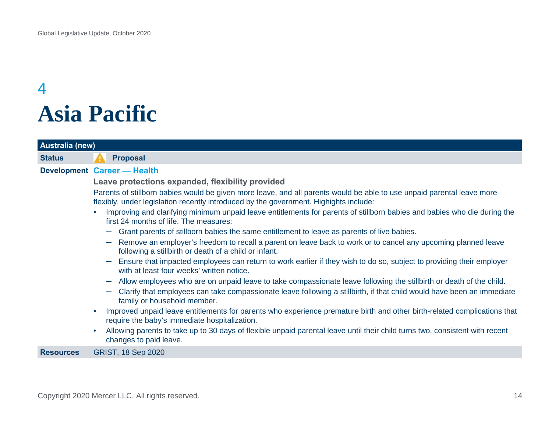### <span id="page-15-0"></span>4 **Asia Pacific**

<span id="page-15-1"></span>

| <b>Australia (new)</b> |                                                                                                                                                                                                                 |
|------------------------|-----------------------------------------------------------------------------------------------------------------------------------------------------------------------------------------------------------------|
| <b>Status</b>          | <b>Proposal</b>                                                                                                                                                                                                 |
|                        | Development Career - Health                                                                                                                                                                                     |
|                        | Leave protections expanded, flexibility provided                                                                                                                                                                |
|                        | Parents of stillborn babies would be given more leave, and all parents would be able to use unpaid parental leave more<br>flexibly, under legislation recently introduced by the government. Highights include: |
|                        | Improving and clarifying minimum unpaid leave entitlements for parents of stillborn babies and babies who die during the<br>first 24 months of life. The measures:                                              |
|                        | - Grant parents of stillborn babies the same entitlement to leave as parents of live babies.                                                                                                                    |
|                        | Remove an employer's freedom to recall a parent on leave back to work or to cancel any upcoming planned leave<br>$\overline{\phantom{m}}$<br>following a stillbirth or death of a child or infant.              |
|                        | Ensure that impacted employees can return to work earlier if they wish to do so, subject to providing their employer<br>with at least four weeks' written notice.                                               |
|                        | Allow employees who are on unpaid leave to take compassionate leave following the stillbirth or death of the child.                                                                                             |
|                        | Clarify that employees can take compassionate leave following a stillbirth, if that child would have been an immediate<br>$\overline{\phantom{m}}$<br>family or household member.                               |
|                        | Improved unpaid leave entitlements for parents who experience premature birth and other birth-related complications that<br>require the baby's immediate hospitalization.                                       |
|                        | Allowing parents to take up to 30 days of flexible unpaid parental leave until their child turns two, consistent with recent<br>changes to paid leave.                                                          |
| <b>Resources</b>       | <b>GRIST, 18 Sep 2020</b>                                                                                                                                                                                       |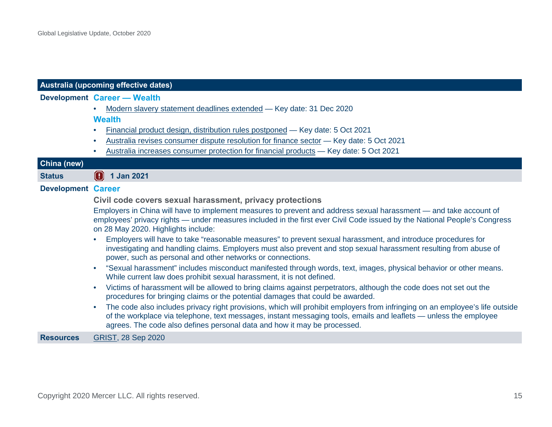<span id="page-16-0"></span>

|                           | Australia (upcoming effective dates)                                                                                                                                                                                                                                                                                                       |
|---------------------------|--------------------------------------------------------------------------------------------------------------------------------------------------------------------------------------------------------------------------------------------------------------------------------------------------------------------------------------------|
|                           | Development Career - Wealth                                                                                                                                                                                                                                                                                                                |
|                           | Modern slavery statement deadlines extended - Key date: 31 Dec 2020<br>$\bullet$                                                                                                                                                                                                                                                           |
|                           | <b>Wealth</b>                                                                                                                                                                                                                                                                                                                              |
|                           | Financial product design, distribution rules postponed - Key date: 5 Oct 2021<br>$\bullet$                                                                                                                                                                                                                                                 |
|                           | Australia revises consumer dispute resolution for finance sector - Key date: 5 Oct 2021<br>$\bullet$                                                                                                                                                                                                                                       |
|                           | Australia increases consumer protection for financial products - Key date: 5 Oct 2021                                                                                                                                                                                                                                                      |
| China (new)               |                                                                                                                                                                                                                                                                                                                                            |
| <b>Status</b>             | $\left( \frac{1}{2} \right)$ 1 Jan 2021                                                                                                                                                                                                                                                                                                    |
| <b>Development Career</b> |                                                                                                                                                                                                                                                                                                                                            |
|                           | Civil code covers sexual harassment, privacy protections                                                                                                                                                                                                                                                                                   |
|                           | Employers in China will have to implement measures to prevent and address sexual harassment — and take account of<br>employees' privacy rights — under measures included in the first ever Civil Code issued by the National People's Congress<br>on 28 May 2020. Highlights include:                                                      |
|                           | Employers will have to take "reasonable measures" to prevent sexual harassment, and introduce procedures for<br>$\bullet$<br>investigating and handling claims. Employers must also prevent and stop sexual harassment resulting from abuse of<br>power, such as personal and other networks or connections.                               |
|                           | "Sexual harassment" includes misconduct manifested through words, text, images, physical behavior or other means.<br>$\bullet$<br>While current law does prohibit sexual harassment, it is not defined.                                                                                                                                    |
|                           | Victims of harassment will be allowed to bring claims against perpetrators, although the code does not set out the<br>$\bullet$<br>procedures for bringing claims or the potential damages that could be awarded.                                                                                                                          |
|                           | The code also includes privacy right provisions, which will prohibit employers from infringing on an employee's life outside<br>$\bullet$<br>of the workplace via telephone, text messages, instant messaging tools, emails and leaflets — unless the employee<br>agrees. The code also defines personal data and how it may be processed. |
| <b>Resources</b>          | <b>GRIST, 28 Sep 2020</b>                                                                                                                                                                                                                                                                                                                  |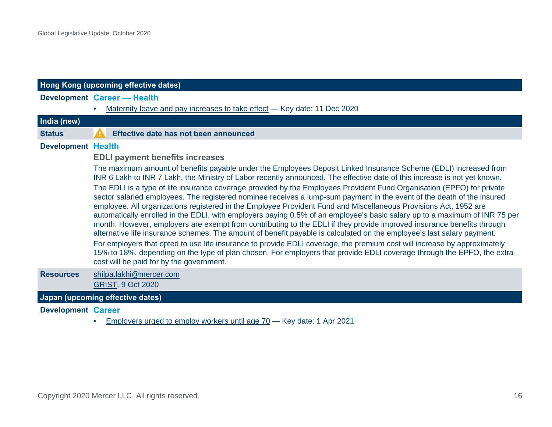<span id="page-17-0"></span>

|                           | Hong Kong (upcoming effective dates)                                                                                                                                                                                                                                                                                                                                                                                                                                                                                                                                                                                                                                                                                                                                                                                                                                                                                                                                                                                                                                                                                                                                                                                                                          |
|---------------------------|---------------------------------------------------------------------------------------------------------------------------------------------------------------------------------------------------------------------------------------------------------------------------------------------------------------------------------------------------------------------------------------------------------------------------------------------------------------------------------------------------------------------------------------------------------------------------------------------------------------------------------------------------------------------------------------------------------------------------------------------------------------------------------------------------------------------------------------------------------------------------------------------------------------------------------------------------------------------------------------------------------------------------------------------------------------------------------------------------------------------------------------------------------------------------------------------------------------------------------------------------------------|
|                           | <b>Development Career - Health</b>                                                                                                                                                                                                                                                                                                                                                                                                                                                                                                                                                                                                                                                                                                                                                                                                                                                                                                                                                                                                                                                                                                                                                                                                                            |
|                           | Maternity leave and pay increases to take effect - Key date: 11 Dec 2020                                                                                                                                                                                                                                                                                                                                                                                                                                                                                                                                                                                                                                                                                                                                                                                                                                                                                                                                                                                                                                                                                                                                                                                      |
| India (new)               |                                                                                                                                                                                                                                                                                                                                                                                                                                                                                                                                                                                                                                                                                                                                                                                                                                                                                                                                                                                                                                                                                                                                                                                                                                                               |
| <b>Status</b>             | Effective date has not been announced                                                                                                                                                                                                                                                                                                                                                                                                                                                                                                                                                                                                                                                                                                                                                                                                                                                                                                                                                                                                                                                                                                                                                                                                                         |
| <b>Development Health</b> |                                                                                                                                                                                                                                                                                                                                                                                                                                                                                                                                                                                                                                                                                                                                                                                                                                                                                                                                                                                                                                                                                                                                                                                                                                                               |
|                           | <b>EDLI payment benefits increases</b>                                                                                                                                                                                                                                                                                                                                                                                                                                                                                                                                                                                                                                                                                                                                                                                                                                                                                                                                                                                                                                                                                                                                                                                                                        |
|                           | The maximum amount of benefits payable under the Employees Deposit Linked Insurance Scheme (EDLI) increased from<br>INR 6 Lakh to INR 7 Lakh, the Ministry of Labor recently announced. The effective date of this increase is not yet known.<br>The EDLI is a type of life insurance coverage provided by the Employees Provident Fund Organisation (EPFO) for private<br>sector salaried employees. The registered nominee receives a lump-sum payment in the event of the death of the insured<br>employee. All organizations registered in the Employee Provident Fund and Miscellaneous Provisions Act, 1952 are<br>automatically enrolled in the EDLI, with employers paying 0.5% of an employee's basic salary up to a maximum of INR 75 per<br>month. However, employers are exempt from contributing to the EDLI if they provide improved insurance benefits through<br>alternative life insurance schemes. The amount of benefit payable is calculated on the employee's last salary payment.<br>For employers that opted to use life insurance to provide EDLI coverage, the premium cost will increase by approximately<br>15% to 18%, depending on the type of plan chosen. For employers that provide EDLI coverage through the EPFO, the extra |
|                           | cost will be paid for by the government.                                                                                                                                                                                                                                                                                                                                                                                                                                                                                                                                                                                                                                                                                                                                                                                                                                                                                                                                                                                                                                                                                                                                                                                                                      |
| <b>Resources</b>          | shilpa.lakhi@mercer.com<br><b>GRIST, 9 Oct 2020</b>                                                                                                                                                                                                                                                                                                                                                                                                                                                                                                                                                                                                                                                                                                                                                                                                                                                                                                                                                                                                                                                                                                                                                                                                           |
|                           | Japan (upcoming effective dates)                                                                                                                                                                                                                                                                                                                                                                                                                                                                                                                                                                                                                                                                                                                                                                                                                                                                                                                                                                                                                                                                                                                                                                                                                              |

**Development Career**

• [Employers urged to employ workers until age 70](https://www.mercer.com/content/dam/mercer/attachments/global/law-and-policy/gl-2020-global-legislative-update-september-2020.pdf#page=23) – Key date: 1 Apr 2021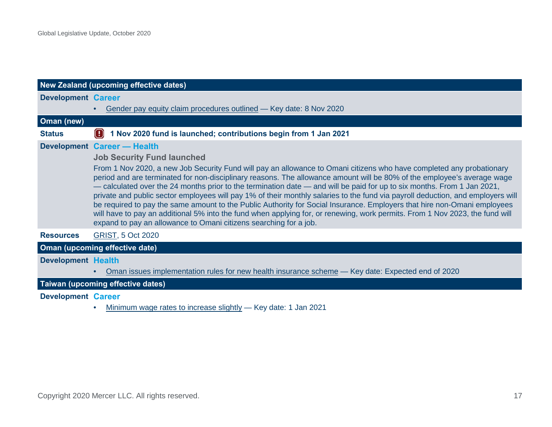<span id="page-18-0"></span>

| New Zealand (upcoming effective dates) |                                                                                                                                                                                                                                                                                                                                                                                                                                                                                                                                                                                                                                                                                                                                                                                                                                                |
|----------------------------------------|------------------------------------------------------------------------------------------------------------------------------------------------------------------------------------------------------------------------------------------------------------------------------------------------------------------------------------------------------------------------------------------------------------------------------------------------------------------------------------------------------------------------------------------------------------------------------------------------------------------------------------------------------------------------------------------------------------------------------------------------------------------------------------------------------------------------------------------------|
| <b>Development Career</b>              |                                                                                                                                                                                                                                                                                                                                                                                                                                                                                                                                                                                                                                                                                                                                                                                                                                                |
|                                        | Gender pay equity claim procedures outlined - Key date: 8 Nov 2020                                                                                                                                                                                                                                                                                                                                                                                                                                                                                                                                                                                                                                                                                                                                                                             |
| Oman (new)                             |                                                                                                                                                                                                                                                                                                                                                                                                                                                                                                                                                                                                                                                                                                                                                                                                                                                |
| <b>Status</b>                          | 1 Nov 2020 fund is launched; contributions begin from 1 Jan 2021                                                                                                                                                                                                                                                                                                                                                                                                                                                                                                                                                                                                                                                                                                                                                                               |
|                                        | <b>Development Career - Health</b>                                                                                                                                                                                                                                                                                                                                                                                                                                                                                                                                                                                                                                                                                                                                                                                                             |
|                                        | <b>Job Security Fund launched</b>                                                                                                                                                                                                                                                                                                                                                                                                                                                                                                                                                                                                                                                                                                                                                                                                              |
|                                        | From 1 Nov 2020, a new Job Security Fund will pay an allowance to Omani citizens who have completed any probationary<br>period and are terminated for non-disciplinary reasons. The allowance amount will be 80% of the employee's average wage<br>- calculated over the 24 months prior to the termination date - and will be paid for up to six months. From 1 Jan 2021,<br>private and public sector employees will pay 1% of their monthly salaries to the fund via payroll deduction, and employers will<br>be required to pay the same amount to the Public Authority for Social Insurance. Employers that hire non-Omani employees<br>will have to pay an additional 5% into the fund when applying for, or renewing, work permits. From 1 Nov 2023, the fund will<br>expand to pay an allowance to Omani citizens searching for a job. |
| <b>Resources</b>                       | <b>GRIST, 5 Oct 2020</b>                                                                                                                                                                                                                                                                                                                                                                                                                                                                                                                                                                                                                                                                                                                                                                                                                       |
|                                        | Oman (upcoming effective date)                                                                                                                                                                                                                                                                                                                                                                                                                                                                                                                                                                                                                                                                                                                                                                                                                 |
| <b>Development Health</b>              |                                                                                                                                                                                                                                                                                                                                                                                                                                                                                                                                                                                                                                                                                                                                                                                                                                                |
|                                        | Oman issues implementation rules for new health insurance scheme — Key date: Expected end of 2020                                                                                                                                                                                                                                                                                                                                                                                                                                                                                                                                                                                                                                                                                                                                              |
|                                        | Taiwan (upcoming effective dates)                                                                                                                                                                                                                                                                                                                                                                                                                                                                                                                                                                                                                                                                                                                                                                                                              |
| <b>Development Career</b>              |                                                                                                                                                                                                                                                                                                                                                                                                                                                                                                                                                                                                                                                                                                                                                                                                                                                |

• [Minimum wage rates to increase slightly](https://www.mercer.com/our-thinking/law-and-policy-group/global-legislative-update-september-2020.html) - Key date: 1 Jan 2021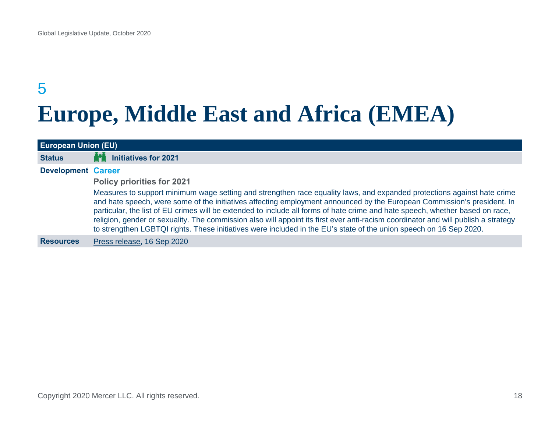### <span id="page-19-0"></span>5 **Europe, Middle East and Africa (EMEA)**

<span id="page-19-1"></span>

| <b>European Union (EU)</b> |                                                                                                                                                                                                                                                                                                                                                                                                                                                                                                                                                                                                                                                 |
|----------------------------|-------------------------------------------------------------------------------------------------------------------------------------------------------------------------------------------------------------------------------------------------------------------------------------------------------------------------------------------------------------------------------------------------------------------------------------------------------------------------------------------------------------------------------------------------------------------------------------------------------------------------------------------------|
| <b>Status</b>              | <b>Initiatives for 2021</b>                                                                                                                                                                                                                                                                                                                                                                                                                                                                                                                                                                                                                     |
| <b>Development Career</b>  |                                                                                                                                                                                                                                                                                                                                                                                                                                                                                                                                                                                                                                                 |
|                            | <b>Policy priorities for 2021</b>                                                                                                                                                                                                                                                                                                                                                                                                                                                                                                                                                                                                               |
|                            | Measures to support minimum wage setting and strengthen race equality laws, and expanded protections against hate crime<br>and hate speech, were some of the initiatives affecting employment announced by the European Commission's president. In<br>particular, the list of EU crimes will be extended to include all forms of hate crime and hate speech, whether based on race,<br>religion, gender or sexuality. The commission also will appoint its first ever anti-racism coordinator and will publish a strategy<br>to strengthen LGBTQI rights. These initiatives were included in the EU's state of the union speech on 16 Sep 2020. |
| <b>Resources</b>           | Press release, 16 Sep 2020                                                                                                                                                                                                                                                                                                                                                                                                                                                                                                                                                                                                                      |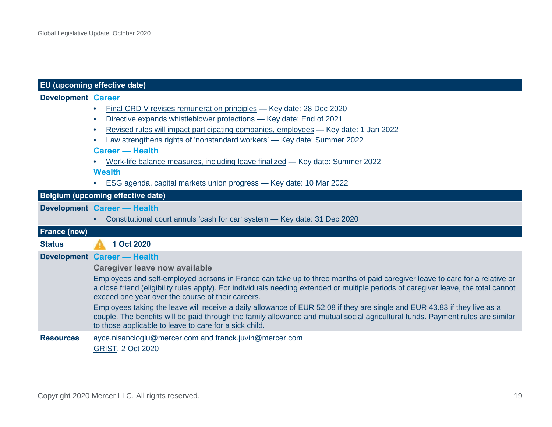#### **Development Career**

| Final CRD V revises remuneration principles - Key date: 28 Dec 2020 |  |
|---------------------------------------------------------------------|--|
|---------------------------------------------------------------------|--|

- [Directive expands whistleblower protections](https://www.mercer.com/our-thinking/law-and-policy-group/eu-finalizes-law-on-whistleblower-protections.html)  Key date: End of 2021
- [Revised rules will impact participating companies, employees](https://www.mercer.com/our-thinking/law-and-policy-group/revised-eu-rules-will-impact-participating-companies-employees.html) Key date: 1 Jan 2022
- [Law strengthens rights of 'nonstandard workers'](https://www.mercer.com/our-thinking/law-and-policy-group/eu-law-strengthens-rights-of-nonstandard-workers.html)  Key date: Summer 2022

#### **Career — Health**

• [Work-life balance measures, including leave finalized](https://www.mercer.com/our-thinking/law-and-policy-group/eu-agrees-to-work-life-balance-measures-including-leave.html) — Key date: Summer 2022

**Wealth**

• [ESG agenda, capital markets union progress](https://www.mercer.com/content/dam/mercer/attachments/private/gl-2020-global-legislative-update-january-2020.pdf#page=45) — Key date: 10 Mar 2022

#### **Belgium (upcoming effective date)**

#### **Development Career — Health**

<span id="page-20-0"></span>• [Constitutional court annuls 'cash for car' system](https://www.mercer.com/our-thinking/law-and-policy-group/belgian-constitutional-court-cancels-cash-for-car-system.html) — Key date: 31 Dec 2020

| <b>France (new)</b> |                                                                                                                                                                                                                                                                                                                         |
|---------------------|-------------------------------------------------------------------------------------------------------------------------------------------------------------------------------------------------------------------------------------------------------------------------------------------------------------------------|
| <b>Status</b>       | 1 Oct 2020                                                                                                                                                                                                                                                                                                              |
|                     | Development Career - Health                                                                                                                                                                                                                                                                                             |
|                     | <b>Caregiver leave now available</b>                                                                                                                                                                                                                                                                                    |
|                     | Employees and self-employed persons in France can take up to three months of paid caregiver leave to care for a relative or<br>a close friend (eligibility rules apply). For individuals needing extended or multiple periods of caregiver leave, the total cannot<br>exceed one year over the course of their careers. |
|                     | Employees taking the leave will receive a daily allowance of EUR 52.08 if they are single and EUR 43.83 if they live as a<br>couple. The benefits will be paid through the family allowance and mutual social agricultural funds. Payment rules are similar<br>to those applicable to leave to care for a sick child.   |
| <b>Resources</b>    | ayce.nisancioglu@mercer.com and franck.juvin@mercer.com<br><b>GRIST, 2 Oct 2020</b>                                                                                                                                                                                                                                     |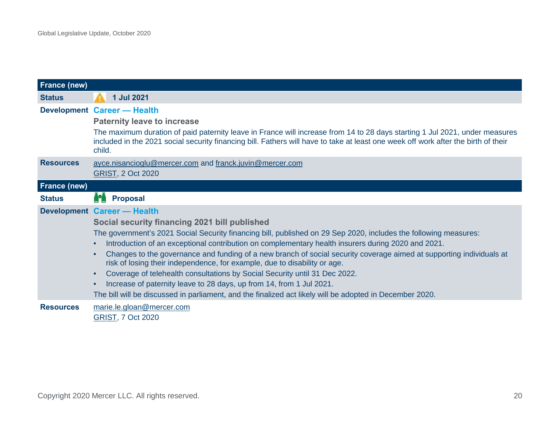<span id="page-21-1"></span><span id="page-21-0"></span>

| <b>France (new)</b> |                                                                                                                                                                                                                                                                                                                                                                                                                                                                                                                                                                                                                                                                                                                                                                                                   |
|---------------------|---------------------------------------------------------------------------------------------------------------------------------------------------------------------------------------------------------------------------------------------------------------------------------------------------------------------------------------------------------------------------------------------------------------------------------------------------------------------------------------------------------------------------------------------------------------------------------------------------------------------------------------------------------------------------------------------------------------------------------------------------------------------------------------------------|
| <b>Status</b>       | 1 Jul 2021                                                                                                                                                                                                                                                                                                                                                                                                                                                                                                                                                                                                                                                                                                                                                                                        |
|                     | <b>Development Career - Health</b><br><b>Paternity leave to increase</b><br>The maximum duration of paid paternity leave in France will increase from 14 to 28 days starting 1 Jul 2021, under measures<br>included in the 2021 social security financing bill. Fathers will have to take at least one week off work after the birth of their<br>child.                                                                                                                                                                                                                                                                                                                                                                                                                                           |
| <b>Resources</b>    | ayce.nisancioglu@mercer.com and franck.juvin@mercer.com<br><b>GRIST, 2 Oct 2020</b>                                                                                                                                                                                                                                                                                                                                                                                                                                                                                                                                                                                                                                                                                                               |
| <b>France (new)</b> |                                                                                                                                                                                                                                                                                                                                                                                                                                                                                                                                                                                                                                                                                                                                                                                                   |
| <b>Status</b>       | M<br><b>Proposal</b>                                                                                                                                                                                                                                                                                                                                                                                                                                                                                                                                                                                                                                                                                                                                                                              |
|                     | <b>Development Career - Health</b><br>Social security financing 2021 bill published<br>The government's 2021 Social Security financing bill, published on 29 Sep 2020, includes the following measures:<br>Introduction of an exceptional contribution on complementary health insurers during 2020 and 2021.<br>Changes to the governance and funding of a new branch of social security coverage aimed at supporting individuals at<br>risk of losing their independence, for example, due to disability or age.<br>Coverage of telehealth consultations by Social Security until 31 Dec 2022.<br>$\bullet$<br>Increase of paternity leave to 28 days, up from 14, from 1 Jul 2021.<br>The bill will be discussed in parliament, and the finalized act likely will be adopted in December 2020. |
| <b>Resources</b>    | marie.le.gloan@mercer.com<br><b>GRIST, 7 Oct 2020</b>                                                                                                                                                                                                                                                                                                                                                                                                                                                                                                                                                                                                                                                                                                                                             |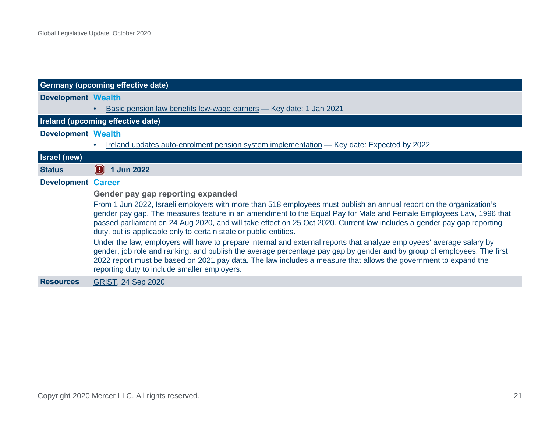<span id="page-22-0"></span>

|                           | <b>Germany (upcoming effective date)</b>                                                                                                                                                                                                                                                                                                                                                                                                 |
|---------------------------|------------------------------------------------------------------------------------------------------------------------------------------------------------------------------------------------------------------------------------------------------------------------------------------------------------------------------------------------------------------------------------------------------------------------------------------|
| <b>Development Wealth</b> |                                                                                                                                                                                                                                                                                                                                                                                                                                          |
|                           | Basic pension law benefits low-wage earners - Key date: 1 Jan 2021                                                                                                                                                                                                                                                                                                                                                                       |
|                           | Ireland (upcoming effective date)                                                                                                                                                                                                                                                                                                                                                                                                        |
| <b>Development Wealth</b> |                                                                                                                                                                                                                                                                                                                                                                                                                                          |
|                           | Ireland updates auto-enrolment pension system implementation - Key date: Expected by 2022                                                                                                                                                                                                                                                                                                                                                |
| <b>Israel</b> (new)       |                                                                                                                                                                                                                                                                                                                                                                                                                                          |
| <b>Status</b>             | $\left( \, . \, \right)$<br>1 Jun 2022                                                                                                                                                                                                                                                                                                                                                                                                   |
| <b>Development Career</b> |                                                                                                                                                                                                                                                                                                                                                                                                                                          |
|                           | Gender pay gap reporting expanded                                                                                                                                                                                                                                                                                                                                                                                                        |
|                           | From 1 Jun 2022, Israeli employers with more than 518 employees must publish an annual report on the organization's<br>gender pay gap. The measures feature in an amendment to the Equal Pay for Male and Female Employees Law, 1996 that<br>passed parliament on 24 Aug 2020, and will take effect on 25 Oct 2020. Current law includes a gender pay gap reporting<br>duty, but is applicable only to certain state or public entities. |
|                           | Under the law, employers will have to prepare internal and external reports that analyze employees' average salary by<br>gender, job role and ranking, and publish the average percentage pay gap by gender and by group of employees. The first<br>2022 report must be based on 2021 pay data. The law includes a measure that allows the government to expand the<br>reporting duty to include smaller employers.                      |
| <b>Resources</b>          | <b>GRIST, 24 Sep 2020</b>                                                                                                                                                                                                                                                                                                                                                                                                                |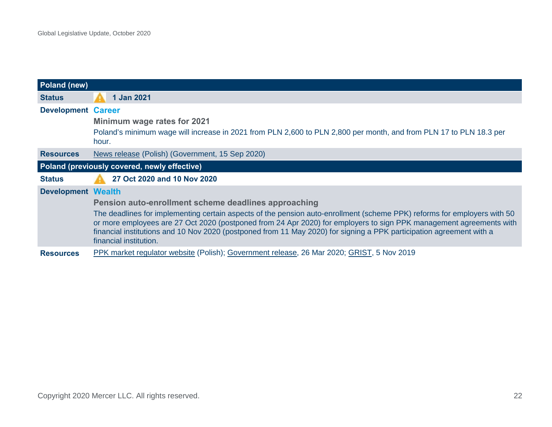<span id="page-23-1"></span><span id="page-23-0"></span>

| <b>Poland (new)</b>       |                                                                                                                                                                                                                                                                                                                                                                                                   |
|---------------------------|---------------------------------------------------------------------------------------------------------------------------------------------------------------------------------------------------------------------------------------------------------------------------------------------------------------------------------------------------------------------------------------------------|
| <b>Status</b>             | 1 Jan 2021                                                                                                                                                                                                                                                                                                                                                                                        |
| <b>Development Career</b> |                                                                                                                                                                                                                                                                                                                                                                                                   |
|                           | Minimum wage rates for 2021                                                                                                                                                                                                                                                                                                                                                                       |
|                           | Poland's minimum wage will increase in 2021 from PLN 2,600 to PLN 2,800 per month, and from PLN 17 to PLN 18.3 per<br>hour.                                                                                                                                                                                                                                                                       |
| <b>Resources</b>          | News release (Polish) (Government, 15 Sep 2020)                                                                                                                                                                                                                                                                                                                                                   |
|                           | Poland (previously covered, newly effective)                                                                                                                                                                                                                                                                                                                                                      |
| <b>Status</b>             | 27 Oct 2020 and 10 Nov 2020                                                                                                                                                                                                                                                                                                                                                                       |
| <b>Development Wealth</b> |                                                                                                                                                                                                                                                                                                                                                                                                   |
|                           | Pension auto-enrollment scheme deadlines approaching                                                                                                                                                                                                                                                                                                                                              |
|                           | The deadlines for implementing certain aspects of the pension auto-enrollment (scheme PPK) reforms for employers with 50<br>or more employees are 27 Oct 2020 (postponed from 24 Apr 2020) for employers to sign PPK management agreements with<br>financial institutions and 10 Nov 2020 (postponed from 11 May 2020) for signing a PPK participation agreement with a<br>financial institution. |
| <b>Resources</b>          | PPK market regulator website (Polish); Government release, 26 Mar 2020; GRIST, 5 Nov 2019                                                                                                                                                                                                                                                                                                         |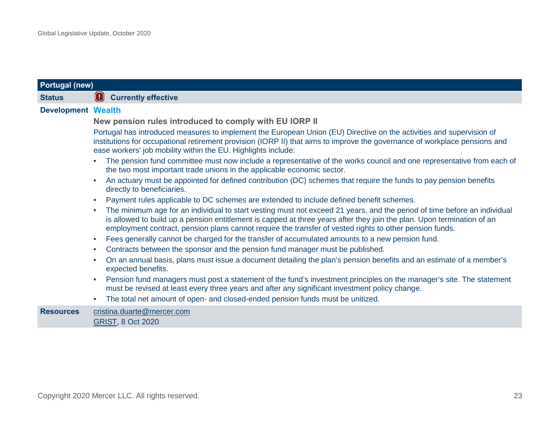<span id="page-24-0"></span>

| <b>Portugal (new)</b>     |                                                                                                                                                                                                                                                                                                                                                               |
|---------------------------|---------------------------------------------------------------------------------------------------------------------------------------------------------------------------------------------------------------------------------------------------------------------------------------------------------------------------------------------------------------|
| <b>Status</b>             | <b>(B)</b> Currently effective                                                                                                                                                                                                                                                                                                                                |
| <b>Development Wealth</b> |                                                                                                                                                                                                                                                                                                                                                               |
|                           | New pension rules introduced to comply with EU IORP II                                                                                                                                                                                                                                                                                                        |
|                           | Portugal has introduced measures to implement the European Union (EU) Directive on the activities and supervision of<br>institutions for occupational retirement provision (IORP II) that aims to improve the governance of workplace pensions and<br>ease workers' job mobility within the EU. Highlights include:                                           |
|                           | The pension fund committee must now include a representative of the works council and one representative from each of<br>the two most important trade unions in the applicable economic sector.                                                                                                                                                               |
|                           | An actuary must be appointed for defined contribution (DC) schemes that require the funds to pay pension benefits<br>directly to beneficiaries.                                                                                                                                                                                                               |
|                           | Payment rules applicable to DC schemes are extended to include defined benefit schemes.                                                                                                                                                                                                                                                                       |
|                           | The minimum age for an individual to start vesting must not exceed 21 years, and the period of time before an individual<br>is allowed to build up a pension entitlement is capped at three years after they join the plan. Upon termination of an<br>employment contract, pension plans cannot require the transfer of vested rights to other pension funds. |
|                           | Fees generally cannot be charged for the transfer of accumulated amounts to a new pension fund.<br>$\bullet$                                                                                                                                                                                                                                                  |
|                           | Contracts between the sponsor and the pension fund manager must be published.<br>$\bullet$                                                                                                                                                                                                                                                                    |
|                           | On an annual basis, plans must issue a document detailing the plan's pension benefits and an estimate of a member's<br>$\bullet$<br>expected benefits.                                                                                                                                                                                                        |
|                           | Pension fund managers must post a statement of the fund's investment principles on the manager's site. The statement<br>$\bullet$<br>must be revised at least every three years and after any significant investment policy change.                                                                                                                           |
|                           | The total net amount of open- and closed-ended pension funds must be unitized.                                                                                                                                                                                                                                                                                |
| <b>Resources</b>          | cristina.duarte@mercer.com<br><b>GRIST, 8 Oct 2020</b>                                                                                                                                                                                                                                                                                                        |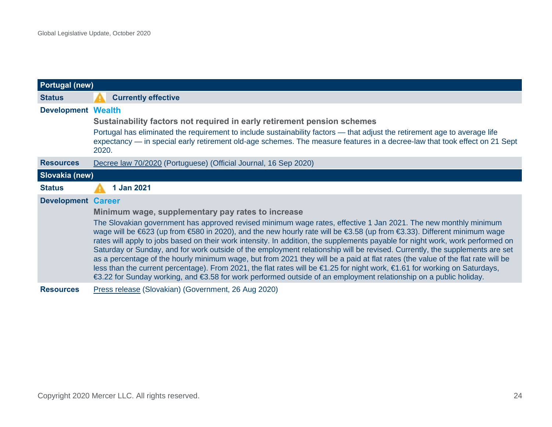<span id="page-25-1"></span><span id="page-25-0"></span>

| <b>Portugal (new)</b>     |                                                                                                                                                                                                                                                                                                                                                                                                                                                                                                                                                                                                                                                                                                                                                                                                                                                                                                   |  |
|---------------------------|---------------------------------------------------------------------------------------------------------------------------------------------------------------------------------------------------------------------------------------------------------------------------------------------------------------------------------------------------------------------------------------------------------------------------------------------------------------------------------------------------------------------------------------------------------------------------------------------------------------------------------------------------------------------------------------------------------------------------------------------------------------------------------------------------------------------------------------------------------------------------------------------------|--|
| <b>Status</b>             | <b>Currently effective</b>                                                                                                                                                                                                                                                                                                                                                                                                                                                                                                                                                                                                                                                                                                                                                                                                                                                                        |  |
| <b>Development Wealth</b> |                                                                                                                                                                                                                                                                                                                                                                                                                                                                                                                                                                                                                                                                                                                                                                                                                                                                                                   |  |
|                           | Sustainability factors not required in early retirement pension schemes<br>Portugal has eliminated the requirement to include sustainability factors — that adjust the retirement age to average life<br>expectancy — in special early retirement old-age schemes. The measure features in a decree-law that took effect on 21 Sept<br>2020.                                                                                                                                                                                                                                                                                                                                                                                                                                                                                                                                                      |  |
| <b>Resources</b>          | Decree law 70/2020 (Portuguese) (Official Journal, 16 Sep 2020)                                                                                                                                                                                                                                                                                                                                                                                                                                                                                                                                                                                                                                                                                                                                                                                                                                   |  |
| Slovakia (new)            |                                                                                                                                                                                                                                                                                                                                                                                                                                                                                                                                                                                                                                                                                                                                                                                                                                                                                                   |  |
| <b>Status</b>             | 1 Jan 2021                                                                                                                                                                                                                                                                                                                                                                                                                                                                                                                                                                                                                                                                                                                                                                                                                                                                                        |  |
| <b>Development Career</b> |                                                                                                                                                                                                                                                                                                                                                                                                                                                                                                                                                                                                                                                                                                                                                                                                                                                                                                   |  |
|                           | Minimum wage, supplementary pay rates to increase                                                                                                                                                                                                                                                                                                                                                                                                                                                                                                                                                                                                                                                                                                                                                                                                                                                 |  |
|                           | The Slovakian government has approved revised minimum wage rates, effective 1 Jan 2021. The new monthly minimum<br>wage will be €623 (up from €580 in 2020), and the new hourly rate will be €3.58 (up from €3.33). Different minimum wage<br>rates will apply to jobs based on their work intensity. In addition, the supplements payable for night work, work performed on<br>Saturday or Sunday, and for work outside of the employment relationship will be revised. Currently, the supplements are set<br>as a percentage of the hourly minimum wage, but from 2021 they will be a paid at flat rates (the value of the flat rate will be<br>less than the current percentage). From 2021, the flat rates will be €1.25 for night work, €1.61 for working on Saturdays,<br>€3.22 for Sunday working, and €3.58 for work performed outside of an employment relationship on a public holiday. |  |
| <b>Resources</b>          | Press release (Slovakian) (Government, 26 Aug 2020)                                                                                                                                                                                                                                                                                                                                                                                                                                                                                                                                                                                                                                                                                                                                                                                                                                               |  |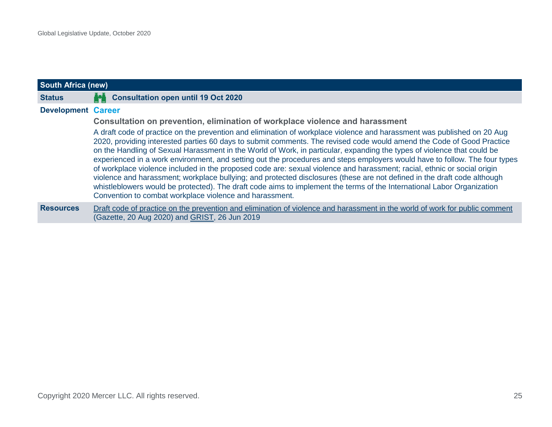<span id="page-26-0"></span>

| <b>South Africa (new)</b> |                                                                                                                                                                                                                                                                                                                                                                                                                                                                                                                                                                                                                                                                                                                                                                                                                                                                                                                                                        |  |
|---------------------------|--------------------------------------------------------------------------------------------------------------------------------------------------------------------------------------------------------------------------------------------------------------------------------------------------------------------------------------------------------------------------------------------------------------------------------------------------------------------------------------------------------------------------------------------------------------------------------------------------------------------------------------------------------------------------------------------------------------------------------------------------------------------------------------------------------------------------------------------------------------------------------------------------------------------------------------------------------|--|
| <b>Status</b>             | П<br><b>Consultation open until 19 Oct 2020</b>                                                                                                                                                                                                                                                                                                                                                                                                                                                                                                                                                                                                                                                                                                                                                                                                                                                                                                        |  |
| <b>Development Career</b> |                                                                                                                                                                                                                                                                                                                                                                                                                                                                                                                                                                                                                                                                                                                                                                                                                                                                                                                                                        |  |
|                           | Consultation on prevention, elimination of workplace violence and harassment                                                                                                                                                                                                                                                                                                                                                                                                                                                                                                                                                                                                                                                                                                                                                                                                                                                                           |  |
|                           | A draft code of practice on the prevention and elimination of workplace violence and harassment was published on 20 Aug<br>2020, providing interested parties 60 days to submit comments. The revised code would amend the Code of Good Practice<br>on the Handling of Sexual Harassment in the World of Work, in particular, expanding the types of violence that could be<br>experienced in a work environment, and setting out the procedures and steps employers would have to follow. The four types<br>of workplace violence included in the proposed code are: sexual violence and harassment; racial, ethnic or social origin<br>violence and harassment; workplace bullying; and protected disclosures (these are not defined in the draft code although<br>whistleblowers would be protected). The draft code aims to implement the terms of the International Labor Organization<br>Convention to combat workplace violence and harassment. |  |
| <b>Resources</b>          | Draft code of practice on the prevention and elimination of violence and harassment in the world of work for public comment<br>(Gazette, 20 Aug 2020) and GRIST, 26 Jun 2019                                                                                                                                                                                                                                                                                                                                                                                                                                                                                                                                                                                                                                                                                                                                                                           |  |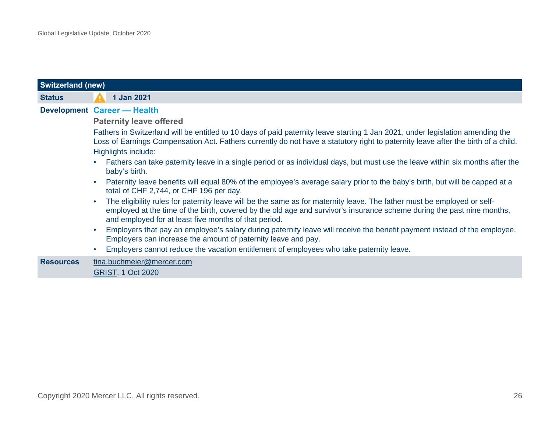<span id="page-27-0"></span>

| <b>Switzerland (new)</b> |                                                                                                                                                                                                                                                                                                            |  |
|--------------------------|------------------------------------------------------------------------------------------------------------------------------------------------------------------------------------------------------------------------------------------------------------------------------------------------------------|--|
| <b>Status</b>            | 1 Jan 2021                                                                                                                                                                                                                                                                                                 |  |
|                          | Development Career - Health                                                                                                                                                                                                                                                                                |  |
|                          | <b>Paternity leave offered</b>                                                                                                                                                                                                                                                                             |  |
|                          | Fathers in Switzerland will be entitled to 10 days of paid paternity leave starting 1 Jan 2021, under legislation amending the<br>Loss of Earnings Compensation Act. Fathers currently do not have a statutory right to paternity leave after the birth of a child.<br>Highlights include:                 |  |
|                          | Fathers can take paternity leave in a single period or as individual days, but must use the leave within six months after the<br>baby's birth.                                                                                                                                                             |  |
|                          | Paternity leave benefits will equal 80% of the employee's average salary prior to the baby's birth, but will be capped at a<br>total of CHF 2,744, or CHF 196 per day.                                                                                                                                     |  |
|                          | The eligibility rules for paternity leave will be the same as for maternity leave. The father must be employed or self-<br>employed at the time of the birth, covered by the old age and survivor's insurance scheme during the past nine months,<br>and employed for at least five months of that period. |  |
|                          | Employers that pay an employee's salary during paternity leave will receive the benefit payment instead of the employee.<br>Employers can increase the amount of paternity leave and pay.                                                                                                                  |  |
|                          | Employers cannot reduce the vacation entitlement of employees who take paternity leave.                                                                                                                                                                                                                    |  |
| <b>Resources</b>         | tina.buchmeier@mercer.com<br><b>GRIST, 1 Oct 2020</b>                                                                                                                                                                                                                                                      |  |
|                          |                                                                                                                                                                                                                                                                                                            |  |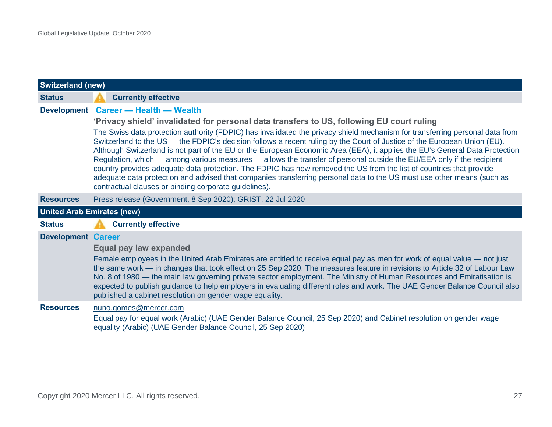<span id="page-28-1"></span><span id="page-28-0"></span>

| <b>Switzerland (new)</b>          |                                                                                                                                                                                                                                                                                                                                                                                                                                                                                                                                                                                                                                                                                                                                                                                                                                                                                                                                                                 |  |
|-----------------------------------|-----------------------------------------------------------------------------------------------------------------------------------------------------------------------------------------------------------------------------------------------------------------------------------------------------------------------------------------------------------------------------------------------------------------------------------------------------------------------------------------------------------------------------------------------------------------------------------------------------------------------------------------------------------------------------------------------------------------------------------------------------------------------------------------------------------------------------------------------------------------------------------------------------------------------------------------------------------------|--|
| <b>Status</b>                     | <b>Currently effective</b>                                                                                                                                                                                                                                                                                                                                                                                                                                                                                                                                                                                                                                                                                                                                                                                                                                                                                                                                      |  |
|                                   | Development Career - Health - Wealth<br>'Privacy shield' invalidated for personal data transfers to US, following EU court ruling<br>The Swiss data protection authority (FDPIC) has invalidated the privacy shield mechanism for transferring personal data from<br>Switzerland to the US — the FDPIC's decision follows a recent ruling by the Court of Justice of the European Union (EU).<br>Although Switzerland is not part of the EU or the European Economic Area (EEA), it applies the EU's General Data Protection<br>Regulation, which — among various measures — allows the transfer of personal outside the EU/EEA only if the recipient<br>country provides adequate data protection. The FDPIC has now removed the US from the list of countries that provide<br>adequate data protection and advised that companies transferring personal data to the US must use other means (such as<br>contractual clauses or binding corporate guidelines). |  |
| <b>Resources</b>                  | Press release (Government, 8 Sep 2020); GRIST, 22 Jul 2020                                                                                                                                                                                                                                                                                                                                                                                                                                                                                                                                                                                                                                                                                                                                                                                                                                                                                                      |  |
| <b>United Arab Emirates (new)</b> |                                                                                                                                                                                                                                                                                                                                                                                                                                                                                                                                                                                                                                                                                                                                                                                                                                                                                                                                                                 |  |
| <b>Status</b>                     | <b>Currently effective</b>                                                                                                                                                                                                                                                                                                                                                                                                                                                                                                                                                                                                                                                                                                                                                                                                                                                                                                                                      |  |
| <b>Development Career</b>         | Equal pay law expanded<br>Female employees in the United Arab Emirates are entitled to receive equal pay as men for work of equal value — not just<br>the same work - in changes that took effect on 25 Sep 2020. The measures feature in revisions to Article 32 of Labour Law<br>No. 8 of 1980 — the main law governing private sector employment. The Ministry of Human Resources and Emiratisation is<br>expected to publish guidance to help employers in evaluating different roles and work. The UAE Gender Balance Council also<br>published a cabinet resolution on gender wage equality.                                                                                                                                                                                                                                                                                                                                                              |  |
| <b>Resources</b>                  | nuno.gomes@mercer.com<br>Equal pay for equal work (Arabic) (UAE Gender Balance Council, 25 Sep 2020) and Cabinet resolution on gender wage<br>equality (Arabic) (UAE Gender Balance Council, 25 Sep 2020)                                                                                                                                                                                                                                                                                                                                                                                                                                                                                                                                                                                                                                                                                                                                                       |  |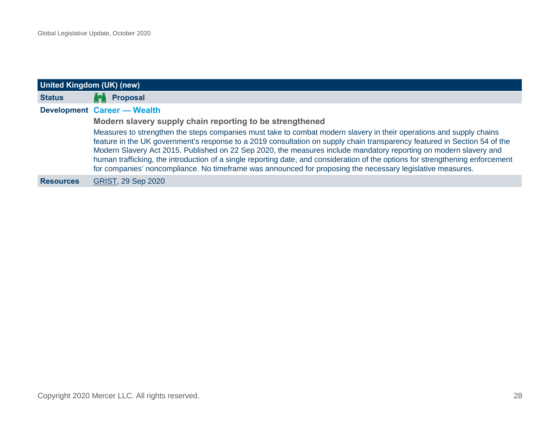<span id="page-29-0"></span>

| United Kingdom (UK) (new) |                                                                                                                                                                                                                                                                                                                                                                                                                                                                                                                                                                                                                       |  |
|---------------------------|-----------------------------------------------------------------------------------------------------------------------------------------------------------------------------------------------------------------------------------------------------------------------------------------------------------------------------------------------------------------------------------------------------------------------------------------------------------------------------------------------------------------------------------------------------------------------------------------------------------------------|--|
| <b>Status</b>             | <b>Proposal</b><br>H                                                                                                                                                                                                                                                                                                                                                                                                                                                                                                                                                                                                  |  |
|                           | <b>Development Career — Wealth</b>                                                                                                                                                                                                                                                                                                                                                                                                                                                                                                                                                                                    |  |
|                           | Modern slavery supply chain reporting to be strengthened                                                                                                                                                                                                                                                                                                                                                                                                                                                                                                                                                              |  |
|                           | Measures to strengthen the steps companies must take to combat modern slavery in their operations and supply chains<br>feature in the UK government's response to a 2019 consultation on supply chain transparency featured in Section 54 of the<br>Modern Slavery Act 2015. Published on 22 Sep 2020, the measures include mandatory reporting on modern slavery and<br>human trafficking, the introduction of a single reporting date, and consideration of the options for strengthening enforcement<br>for companies' noncompliance. No timeframe was announced for proposing the necessary legislative measures. |  |
| <b>Resources</b>          | <b>GRIST, 29 Sep 2020</b>                                                                                                                                                                                                                                                                                                                                                                                                                                                                                                                                                                                             |  |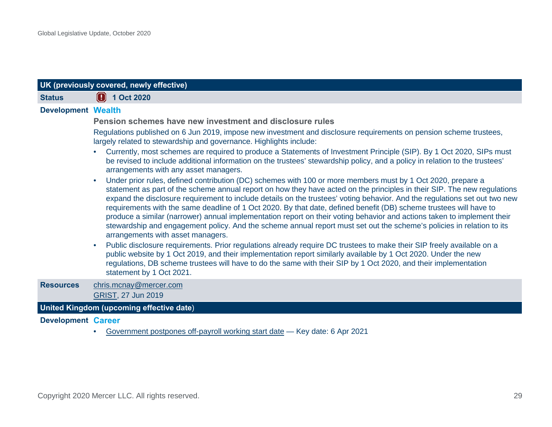<span id="page-30-0"></span>

| UK (previously covered, newly effective) |                                                                                                                                                                                                                                                                                                                                                                                                                                                                                                                                                                                                                                                                                                                                                                                      |  |
|------------------------------------------|--------------------------------------------------------------------------------------------------------------------------------------------------------------------------------------------------------------------------------------------------------------------------------------------------------------------------------------------------------------------------------------------------------------------------------------------------------------------------------------------------------------------------------------------------------------------------------------------------------------------------------------------------------------------------------------------------------------------------------------------------------------------------------------|--|
| <b>Status</b>                            | $\boxed{4}$ 1 Oct 2020                                                                                                                                                                                                                                                                                                                                                                                                                                                                                                                                                                                                                                                                                                                                                               |  |
| <b>Development Wealth</b>                |                                                                                                                                                                                                                                                                                                                                                                                                                                                                                                                                                                                                                                                                                                                                                                                      |  |
|                                          | Pension schemes have new investment and disclosure rules                                                                                                                                                                                                                                                                                                                                                                                                                                                                                                                                                                                                                                                                                                                             |  |
|                                          | Regulations published on 6 Jun 2019, impose new investment and disclosure requirements on pension scheme trustees,<br>largely related to stewardship and governance. Highlights include:                                                                                                                                                                                                                                                                                                                                                                                                                                                                                                                                                                                             |  |
|                                          | Currently, most schemes are required to produce a Statements of Investment Principle (SIP). By 1 Oct 2020, SIPs must<br>be revised to include additional information on the trustees' stewardship policy, and a policy in relation to the trustees'<br>arrangements with any asset managers.                                                                                                                                                                                                                                                                                                                                                                                                                                                                                         |  |
|                                          | Under prior rules, defined contribution (DC) schemes with 100 or more members must by 1 Oct 2020, prepare a<br>statement as part of the scheme annual report on how they have acted on the principles in their SIP. The new regulations<br>expand the disclosure requirement to include details on the trustees' voting behavior. And the regulations set out two new<br>requirements with the same deadline of 1 Oct 2020. By that date, defined benefit (DB) scheme trustees will have to<br>produce a similar (narrower) annual implementation report on their voting behavior and actions taken to implement their<br>stewardship and engagement policy. And the scheme annual report must set out the scheme's policies in relation to its<br>arrangements with asset managers. |  |
|                                          | Public disclosure requirements. Prior regulations already require DC trustees to make their SIP freely available on a<br>public website by 1 Oct 2019, and their implementation report similarly available by 1 Oct 2020. Under the new<br>regulations, DB scheme trustees will have to do the same with their SIP by 1 Oct 2020, and their implementation<br>statement by 1 Oct 2021.                                                                                                                                                                                                                                                                                                                                                                                               |  |
| <b>Resources</b>                         | chris.mcnay@mercer.com<br>GRIST, 27 Jun 2019                                                                                                                                                                                                                                                                                                                                                                                                                                                                                                                                                                                                                                                                                                                                         |  |
|                                          | United Kingdom (upcoming effective date)                                                                                                                                                                                                                                                                                                                                                                                                                                                                                                                                                                                                                                                                                                                                             |  |
| <b>Development Career</b>                |                                                                                                                                                                                                                                                                                                                                                                                                                                                                                                                                                                                                                                                                                                                                                                                      |  |
|                                          | Government postpones off-payroll working start date - Key date: 6 Apr 2021                                                                                                                                                                                                                                                                                                                                                                                                                                                                                                                                                                                                                                                                                                           |  |